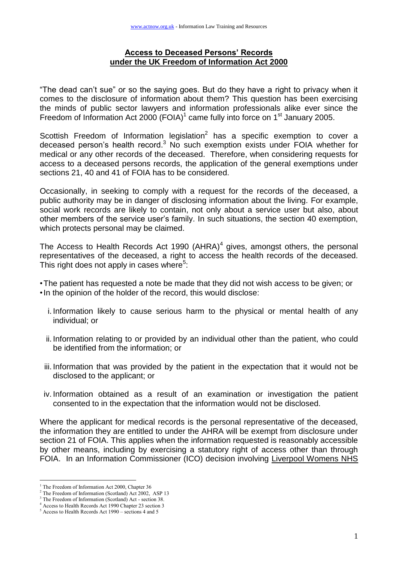## **Access to Deceased Persons' Records under the UK Freedom of Information Act 2000**

"The dead can"t sue" or so the saying goes. But do they have a right to privacy when it comes to the disclosure of information about them? This question has been exercising the minds of public sector lawyers and information professionals alike ever since the Freedom of Information Act 2000 (FOIA)<sup>1</sup> came fully into force on 1<sup>st</sup> January 2005.

Scottish Freedom of Information legislation $2$  has a specific exemption to cover a deceased person's health record.<sup>3</sup> No such exemption exists under FOIA whether for medical or any other records of the deceased. Therefore, when considering requests for access to a deceased persons records, the application of the general exemptions under sections 21, 40 and 41 of FOIA has to be considered.

Occasionally, in seeking to comply with a request for the records of the deceased, a public authority may be in danger of disclosing information about the living. For example, social work records are likely to contain, not only about a service user but also, about other members of the service user"s family. In such situations, the section 40 exemption, which protects personal may be claimed.

The Access to Health Records Act 1990 (AHRA) $<sup>4</sup>$  gives, amongst others, the personal</sup> representatives of the deceased, a right to access the health records of the deceased. This right does not apply in cases where<sup>5</sup>:

•The patient has requested a note be made that they did not wish access to be given; or •In the opinion of the holder of the record, this would disclose:

- i. Information likely to cause serious harm to the physical or mental health of any individual; or
- ii. Information relating to or provided by an individual other than the patient, who could be identified from the information; or
- iii. Information that was provided by the patient in the expectation that it would not be disclosed to the applicant; or
- iv. Information obtained as a result of an examination or investigation the patient consented to in the expectation that the information would not be disclosed.

Where the applicant for medical records is the personal representative of the deceased, the information they are entitled to under the AHRA will be exempt from disclosure under section 21 of FOIA. This applies when the information requested is reasonably accessible by other means, including by exercising a statutory right of access other than through FOIA. In an Information Commissioner (ICO) decision involving Liverpool Womens NHS

 $\overline{a}$ 

<sup>&</sup>lt;sup>1</sup> The Freedom of Information Act 2000, Chapter 36

<sup>&</sup>lt;sup>2</sup> The Freedom of Information (Scotland) Act 2002, ASP 13

<sup>3</sup> The Freedom of Information (Scotland) Act - section 38.

<sup>4</sup> Access to Health Records Act 1990 Chapter 23 section 3

 $5$  Access to Health Records Act 1990 – sections 4 and 5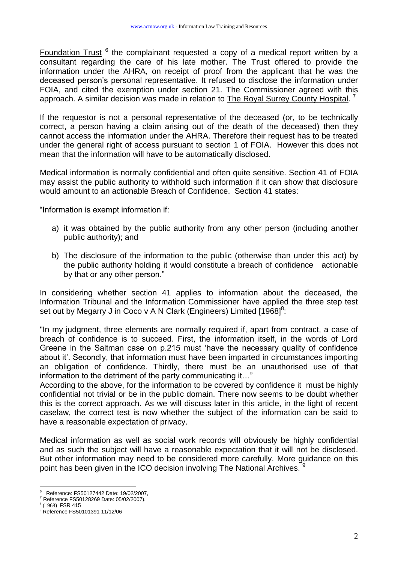Foundation Trust <sup>6</sup> the complainant requested a copy of a medical report written by a consultant regarding the care of his late mother. The Trust offered to provide the information under the AHRA, on receipt of proof from the applicant that he was the deceased person"s personal representative. It refused to disclose the information under FOIA, and cited the exemption under section 21. The Commissioner agreed with this approach. A similar decision was made in relation to **The Royal Surrey County Hospital.**<sup>7</sup>

If the requestor is not a personal representative of the deceased (or, to be technically correct, a person having a claim arising out of the death of the deceased) then they cannot access the information under the AHRA. Therefore their request has to be treated under the general right of access pursuant to section 1 of FOIA. However this does not mean that the information will have to be automatically disclosed.

Medical information is normally confidential and often quite sensitive. Section 41 of FOIA may assist the public authority to withhold such information if it can show that disclosure would amount to an actionable Breach of Confidence. Section 41 states:

"Information is exempt information if:

- a) it was obtained by the public authority from any other person (including another public authority); and
- b) The disclosure of the information to the public (otherwise than under this act) by the public authority holding it would constitute a breach of confidence actionable by that or any other person."

In considering whether section 41 applies to information about the deceased, the Information Tribunal and the Information Commissioner have applied the three step test set out by Megarry J in Coco v A N Clark (Engineers) Limited [1968]<sup>8</sup>:

"In my judgment, three elements are normally required if, apart from contract, a case of breach of confidence is to succeed. First, the information itself, in the words of Lord Greene in the Saltman case on p.215 must "have the necessary quality of confidence about it'. Secondly, that information must have been imparted in circumstances importing an obligation of confidence. Thirdly, there must be an unauthorised use of that information to the detriment of the party communicating it…"

According to the above, for the information to be covered by confidence it must be highly confidential not trivial or be in the public domain. There now seems to be doubt whether this is the correct approach. As we will discuss later in this article, in the light of recent caselaw, the correct test is now whether the subject of the information can be said to have a reasonable expectation of privacy.

Medical information as well as social work records will obviously be highly confidential and as such the subject will have a reasonable expectation that it will not be disclosed. But other information may need to be considered more carefully. More guidance on this point has been given in the ICO decision involving The National Archives. <sup>9</sup>

 $\overline{a}$ 6 Reference: FS50127442 Date: 19/02/2007,

 $7$  Reference FS50128269 Date: 05/02/2007).

<sup>8</sup> (1968) FSR 415

<sup>9</sup> Reference FS50101391 11/12/06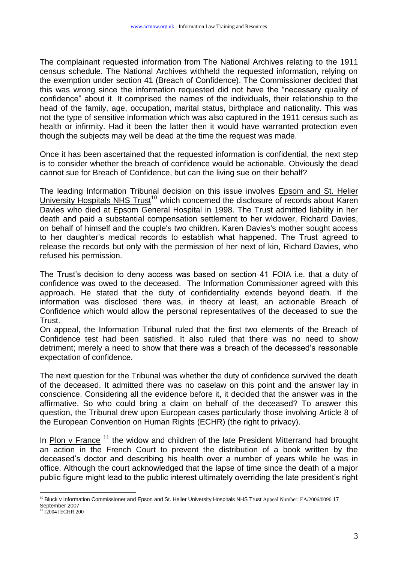The complainant requested information from The National Archives relating to the 1911 census schedule. The National Archives withheld the requested information, relying on the exemption under section 41 (Breach of Confidence). The Commissioner decided that this was wrong since the information requested did not have the "necessary quality of confidence" about it. It comprised the names of the individuals, their relationship to the head of the family, age, occupation, marital status, birthplace and nationality. This was not the type of sensitive information which was also captured in the 1911 census such as health or infirmity. Had it been the latter then it would have warranted protection even though the subjects may well be dead at the time the request was made.

Once it has been ascertained that the requested information is confidential, the next step is to consider whether the breach of confidence would be actionable. Obviously the dead cannot sue for Breach of Confidence, but can the living sue on their behalf?

The leading Information Tribunal decision on this issue involves Epsom and St. Helier University Hospitals NHS  $T$ rust<sup>10</sup> which concerned the disclosure of records about Karen Davies who died at Epsom General Hospital in 1998. The Trust admitted liability in her death and paid a substantial compensation settlement to her widower, Richard Davies, on behalf of himself and the couple's two children. Karen Davies's mother sought access to her daughter"s medical records to establish what happened. The Trust agreed to release the records but only with the permission of her next of kin, Richard Davies, who refused his permission.

The Trust's decision to deny access was based on section 41 FOIA i.e. that a duty of confidence was owed to the deceased. The Information Commissioner agreed with this approach. He stated that the duty of confidentiality extends beyond death. If the information was disclosed there was, in theory at least, an actionable Breach of Confidence which would allow the personal representatives of the deceased to sue the Trust.

On appeal, the Information Tribunal ruled that the first two elements of the Breach of Confidence test had been satisfied. It also ruled that there was no need to show detriment; merely a need to show that there was a breach of the deceased"s reasonable expectation of confidence.

The next question for the Tribunal was whether the duty of confidence survived the death of the deceased. It admitted there was no caselaw on this point and the answer lay in conscience. Considering all the evidence before it, it decided that the answer was in the affirmative. So who could bring a claim on behalf of the deceased? To answer this question, the Tribunal drew upon European cases particularly those involving Article 8 of the European Convention on Human Rights (ECHR) (the right to privacy).

In Plon v France<sup>11</sup> the widow and children of the late President Mitterrand had brought an action in the French Court to prevent the distribution of a book written by the deceased"s doctor and describing his health over a number of years while he was in office. Although the court acknowledged that the lapse of time since the death of a major public figure might lead to the public interest ultimately overriding the late president"s right

 $\overline{a}$ <sup>10</sup> Bluck v Information Commissioner and Epson and St. Helier University Hospitals NHS Trust Appeal Number: EA/2006/0090 17 September 2007

<sup>&</sup>lt;sup>11</sup> [2004] ECHR 200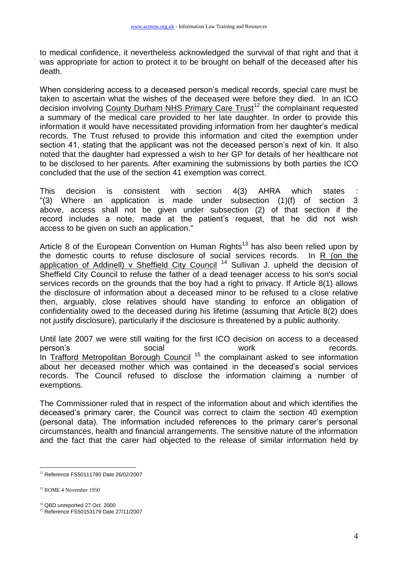to medical confidence, it nevertheless acknowledged the survival of that right and that it was appropriate for action to protect it to be brought on behalf of the deceased after his death.

When considering access to a deceased person"s medical records, special care must be taken to ascertain what the wishes of the deceased were before they died. In an ICO decision involving County Durham NHS Primary Care Trust<sup>12</sup> the complainant requested a summary of the medical care provided to her late daughter. In order to provide this information it would have necessitated providing information from her daughter's medical records. The Trust refused to provide this information and cited the exemption under section 41, stating that the applicant was not the deceased person's next of kin. It also noted that the daughter had expressed a wish to her GP for details of her healthcare not to be disclosed to her parents. After examining the submissions by both parties the ICO concluded that the use of the section 41 exemption was correct.

This decision is consistent with section 4(3) AHRA which states "(3) Where an application is made under subsection (1)(f) of section 3 above, access shall not be given under subsection (2) of that section if the record includes a note, made at the patient"s request, that he did not wish access to be given on such an application."

Article 8 of the European Convention on Human Rights<sup>13</sup> has also been relied upon by the domestic courts to refuse disclosure of social services records. In  $R$  (on the application of Addinell) v Sheffield City Council<sup>14</sup> Sullivan J. upheld the decision of Sheffield City Council to refuse the father of a dead teenager access to his son's social services records on the grounds that the boy had a right to privacy. If Article 8(1) allows the disclosure of information about a deceased minor to be refused to a close relative then, arguably, close relatives should have standing to enforce an obligation of confidentiality owed to the deceased during his lifetime (assuming that Article 8(2) does not justify disclosure), particularly if the disclosure is threatened by a public authority.

Until late 2007 we were still waiting for the first ICO decision on access to a deceased person's example a social social work work records. In Trafford Metropolitan Borough Council<sup>15</sup> the complainant asked to see information about her deceased mother which was contained in the deceased"s social services records. The Council refused to disclose the information claiming a number of exemptions.

The Commissioner ruled that in respect of the information about and which identifies the deceased"s primary carer, the Council was correct to claim the section 40 exemption (personal data). The information included references to the primary carer"s personal circumstances, health and financial arrangements. The sensitive nature of the information and the fact that the carer had objected to the release of similar information held by

 $\overline{a}$ <sup>12</sup> Reference FS50111780 Date 26/02/2007

<sup>13</sup> ROME 4 November 1950

<sup>&</sup>lt;sup>14</sup> QBD unreported 27 Oct. 2000

<sup>15</sup> Reference FS50153179 Date 27/11/2007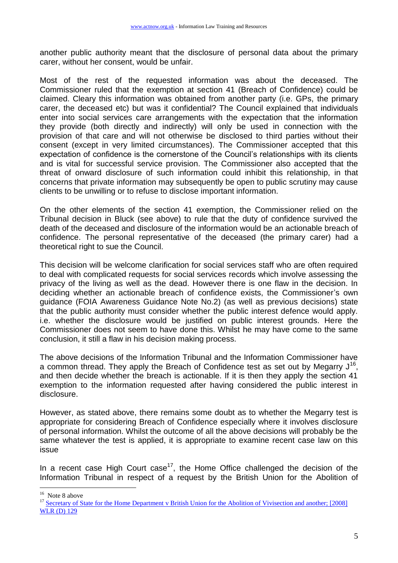another public authority meant that the disclosure of personal data about the primary carer, without her consent, would be unfair.

Most of the rest of the requested information was about the deceased. The Commissioner ruled that the exemption at section 41 (Breach of Confidence) could be claimed. Cleary this information was obtained from another party (i.e. GPs, the primary carer, the deceased etc) but was it confidential? The Council explained that individuals enter into social services care arrangements with the expectation that the information they provide (both directly and indirectly) will only be used in connection with the provision of that care and will not otherwise be disclosed to third parties without their consent (except in very limited circumstances). The Commissioner accepted that this expectation of confidence is the cornerstone of the Council"s relationships with its clients and is vital for successful service provision. The Commissioner also accepted that the threat of onward disclosure of such information could inhibit this relationship, in that concerns that private information may subsequently be open to public scrutiny may cause clients to be unwilling or to refuse to disclose important information.

On the other elements of the section 41 exemption, the Commissioner relied on the Tribunal decision in Bluck (see above) to rule that the duty of confidence survived the death of the deceased and disclosure of the information would be an actionable breach of confidence. The personal representative of the deceased (the primary carer) had a theoretical right to sue the Council.

This decision will be welcome clarification for social services staff who are often required to deal with complicated requests for social services records which involve assessing the privacy of the living as well as the dead. However there is one flaw in the decision. In deciding whether an actionable breach of confidence exists, the Commissioner"s own guidance (FOIA Awareness Guidance Note No.2) (as well as previous decisions) state that the public authority must consider whether the public interest defence would apply. i.e. whether the disclosure would be justified on public interest grounds. Here the Commissioner does not seem to have done this. Whilst he may have come to the same conclusion, it still a flaw in his decision making process.

The above decisions of the Information Tribunal and the Information Commissioner have a common thread. They apply the Breach of Confidence test as set out by Megarry  $J^{16}$ , and then decide whether the breach is actionable. If it is then they apply the section 41 exemption to the information requested after having considered the public interest in disclosure.

However, as stated above, there remains some doubt as to whether the Megarry test is appropriate for considering Breach of Confidence especially where it involves disclosure of personal information. Whilst the outcome of all the above decisions will probably be the same whatever the test is applied, it is appropriate to examine recent case law on this issue

In a recent case High Court case<sup>17</sup>, the Home Office challenged the decision of the Information Tribunal in respect of a request by the British Union for the Abolition of

 $\overline{a}$ 

<sup>&</sup>lt;sup>16</sup> Note 8 above

<sup>&</sup>lt;sup>17</sup> Secretary of State for the Home Department v British Union for the Abolition of Vivisection and another; [2008] [WLR \(D\) 129](http://www.lawreports.co.uk/WLRD/2008/QBD/apr0.9.htm)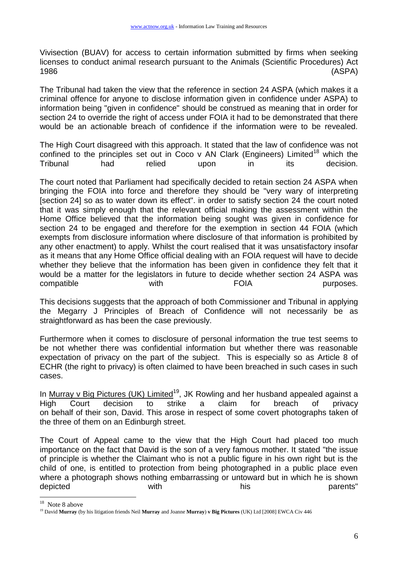Vivisection (BUAV) for access to certain information submitted by firms when seeking licenses to conduct animal research pursuant to the Animals (Scientific Procedures) Act 1986 (ASPA)

The Tribunal had taken the view that the reference in section 24 ASPA (which makes it a criminal offence for anyone to disclose information given in confidence under ASPA) to information being "given in confidence" should be construed as meaning that in order for section 24 to override the right of access under FOIA it had to be demonstrated that there would be an actionable breach of confidence if the information were to be revealed.

The High Court disagreed with this approach. It stated that the law of confidence was not confined to the principles set out in Coco v AN Clark (Engineers) Limited<sup>18</sup> which the Tribunal had relied upon in its decision.

The court noted that Parliament had specifically decided to retain section 24 ASPA when bringing the FOIA into force and therefore they should be "very wary of interpreting [section 24] so as to water down its effect". in order to satisfy section 24 the court noted that it was simply enough that the relevant official making the assessment within the Home Office believed that the information being sought was given in confidence for section 24 to be engaged and therefore for the exemption in section 44 FOIA (which exempts from disclosure information where disclosure of that information is prohibited by any other enactment) to apply. Whilst the court realised that it was unsatisfactory insofar as it means that any Home Office official dealing with an FOIA request will have to decide whether they believe that the information has been given in confidence they felt that it would be a matter for the legislators in future to decide whether section 24 ASPA was compatible with with FOIA purposes.

This decisions suggests that the approach of both Commissioner and Tribunal in applying the Megarry J Principles of Breach of Confidence will not necessarily be as straightforward as has been the case previously.

Furthermore when it comes to disclosure of personal information the true test seems to be not whether there was confidential information but whether there was reasonable expectation of privacy on the part of the subject. This is especially so as Article 8 of ECHR (the right to privacy) is often claimed to have been breached in such cases in such cases.

In Murray v Big Pictures (UK) Limited<sup>19</sup>, JK Rowling and her husband appealed against a High Court decision to strike a claim for breach of privacy on behalf of their son, David. This arose in respect of some covert photographs taken of the three of them on an Edinburgh street.

The Court of Appeal came to the view that the High Court had placed too much importance on the fact that David is the son of a very famous mother. It stated "the issue of principle is whether the Claimant who is not a public figure in his own right but is the child of one, is entitled to protection from being photographed in a public place even where a photograph shows nothing embarrassing or untoward but in which he is shown depicted with with his his parents"

 $\overline{a}$ 

<sup>&</sup>lt;sup>18</sup> Note 8 above

<sup>19</sup> David **Murray** (by his litigation friends Neil **Murray** and Joanne **Murray**) **v Big Pictures** (UK) Ltd [2008] EWCA Civ 446